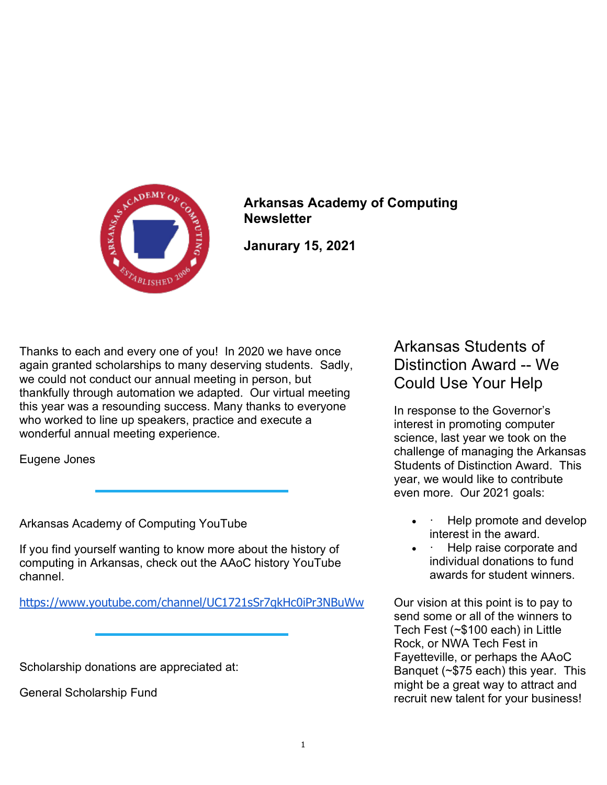

Arkansas Academy of Computing **Newsletter** 

Janurary 15, 2021

Thanks to each and every one of you! In 2020 we have once again granted scholarships to many deserving students. Sadly, we could not conduct our annual meeting in person, but thankfully through automation we adapted. Our virtual meeting this year was a resounding success. Many thanks to everyone who worked to line up speakers, practice and execute a wonderful annual meeting experience.

Eugene Jones

Arkansas Academy of Computing YouTube

If you find yourself wanting to know more about the history of computing in Arkansas, check out the AAoC history YouTube channel.

https://www.youtube.com/channel/UC1721sSr7qkHc0iPr3NBuWw

Scholarship donations are appreciated at:

General Scholarship Fund

Arkansas Students of Distinction Award -- We Could Use Your Help

In response to the Governor's interest in promoting computer science, last year we took on the challenge of managing the Arkansas Students of Distinction Award. This year, we would like to contribute even more. Our 2021 goals:

- Help promote and develop interest in the award.
- · Help raise corporate and individual donations to fund awards for student winners.

Our vision at this point is to pay to send some or all of the winners to Tech Fest (~\$100 each) in Little Rock, or NWA Tech Fest in Fayetteville, or perhaps the AAoC Banquet (~\$75 each) this year. This might be a great way to attract and recruit new talent for your business!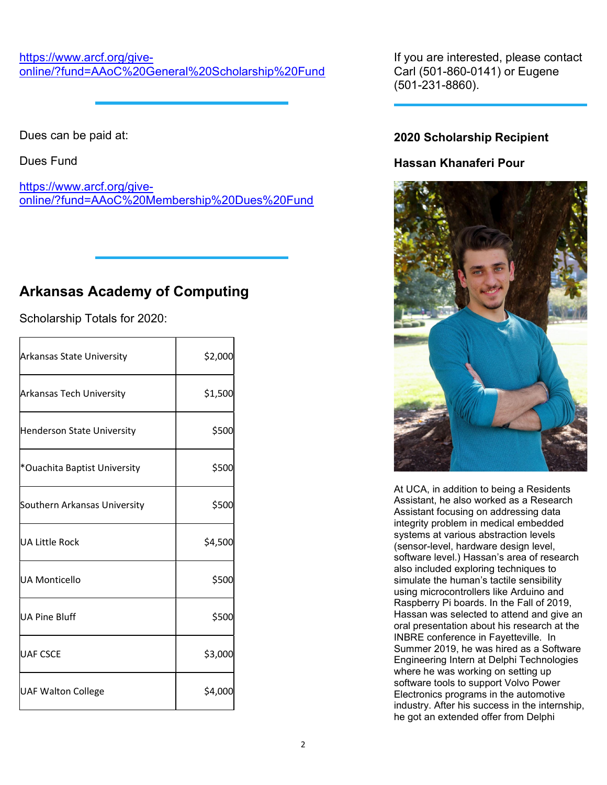#### https://www.arcf.org/giveonline/?fund=AAoC%20General%20Scholarship%20Fund

Dues can be paid at:

Dues Fund

https://www.arcf.org/giveonline/?fund=AAoC%20Membership%20Dues%20Fund

# Arkansas Academy of Computing

Scholarship Totals for 2020:

| <b>Arkansas State University</b> | \$2,000 |
|----------------------------------|---------|
| <b>Arkansas Tech University</b>  | \$1,500 |
| Henderson State University       | \$500   |
| *Ouachita Baptist University     | \$500   |
| Southern Arkansas University     | \$500   |
| lUA Little Rock                  | \$4,500 |
| <b>UA Monticello</b>             | \$500   |
| UA Pine Bluff                    | \$500   |
| <b>UAF CSCE</b>                  | \$3,000 |
| <b>UAF Walton College</b>        | \$4,000 |

If you are interested, please contact Carl (501-860-0141) or Eugene (501-231-8860).

## 2020 Scholarship Recipient

## Hassan Khanaferi Pour



At UCA, in addition to being a Residents Assistant, he also worked as a Research Assistant focusing on addressing data integrity problem in medical embedded systems at various abstraction levels (sensor-level, hardware design level, software level.) Hassan's area of research also included exploring techniques to simulate the human's tactile sensibility using microcontrollers like Arduino and Raspberry Pi boards. In the Fall of 2019, Hassan was selected to attend and give an oral presentation about his research at the INBRE conference in Fayetteville. In Summer 2019, he was hired as a Software Engineering Intern at Delphi Technologies where he was working on setting up software tools to support Volvo Power Electronics programs in the automotive industry. After his success in the internship, he got an extended offer from Delphi